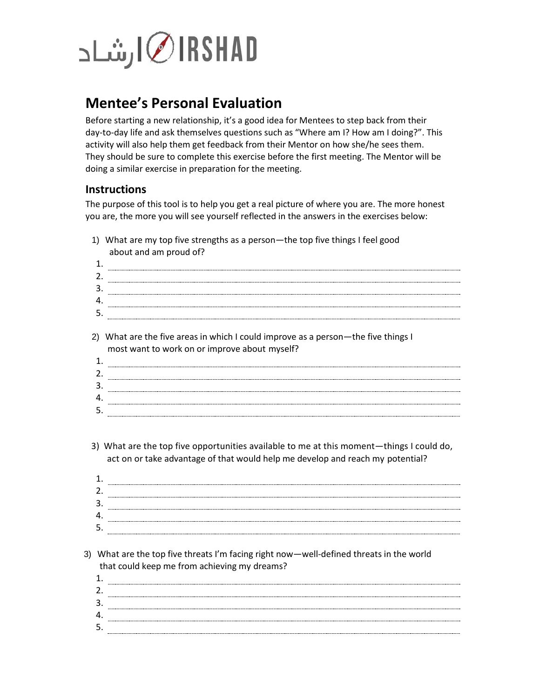## RSHADا ∫شاد

## **Mentee's Personal Evaluation**

Before starting a new relationship, it's a good idea for Mentees to step back from their day-to-day life and ask themselves questions such as "Where am I? How am I doing?". This activity will also help them get feedback from their Mentor on how she/he sees them. They should be sure to complete this exercise before the first meeting. The Mentor will be doing a similar exercise in preparation for the meeting.

## **Instructions**

The purpose of this tool is to help you get a real picture of where you are. The more honest you are, the more you will see yourself reflected in the answers in the exercises below:

- 1) What are my top five strengths as a person—the top five things I feel good about and am proud of?
- 1. 2. 3. 4. 5.
- 2) What are the five areas in which I could improve as a person—the five things I most want to work on or improve about myself?

- 3) What are the top five opportunities available to me at this moment—things I could do, act on or take advantage of that would help me develop and reach my potential?
- 1. 2. 3. 4. 5.
- 3) What are the top five threats I'm facing right now—well-defined threats in the world that could keep me from achieving my dreams?
	- 1. 2. 3. 4. 5.